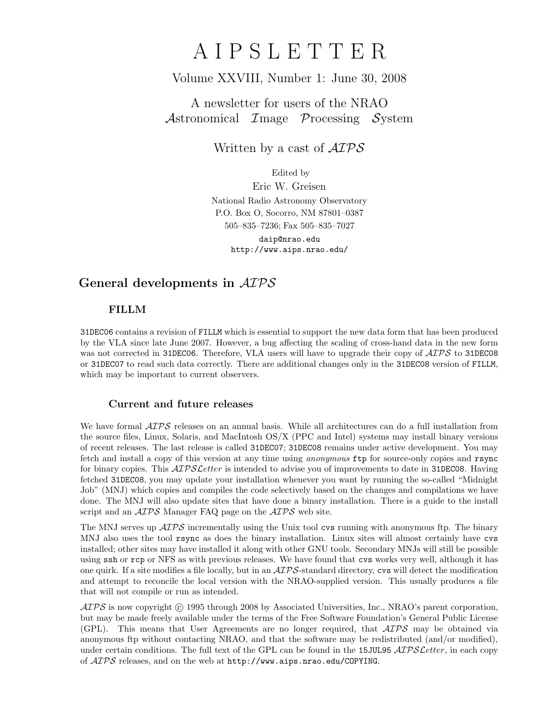# A I P S L E T T E R

# Volume XXVIII, Number 1: June 30, 2008

# A newsletter for users of the NRAO Astronomical  $\mathcal{I}$ mage  $\mathcal{P}$ rocessing  $\mathcal{S}$ ystem

Written by a cast of  $\mathcal{AIPS}$ 

Edited by

Eric W. Greisen National Radio Astronomy Observatory P.O. Box O, Socorro, NM 87801–0387 505–835–7236; Fax 505–835–7027 daip@nrao.edu http://www.aips.nrao.edu/

# General developments in AIPS

## FILLM

31DEC06 contains a revision of FILLM which is essential to support the new data form that has been produced by the VLA since late June 2007. However, a bug affecting the scaling of cross-hand data in the new form was not corrected in 31DEC06. Therefore, VLA users will have to upgrade their copy of  $\mathcal{AIPS}$  to 31DEC08 or 31DEC07 to read such data correctly. There are additional changes only in the 31DEC08 version of FILLM, which may be important to current observers.

### Current and future releases

We have formal  $\mathcal{AIPS}$  releases on an annual basis. While all architectures can do a full installation from the source files, Linux, Solaris, and MacIntosh OS/X (PPC and Intel) systems may install binary versions of recent releases. The last release is called 31DEC07; 31DEC08 remains under active development. You may fetch and install a copy of this version at any time using *anonymous* ftp for source-only copies and rsync for binary copies. This  $\mathcal{AIPS}\mathcal{L}etter$  is intended to advise you of improvements to date in 31DEC08. Having fetched 31DEC08, you may update your installation whenever you want by running the so-called "Midnight Job" (MNJ) which copies and compiles the code selectively based on the changes and compilations we have done. The MNJ will also update sites that have done a binary installation. There is a guide to the install script and an  $\mathcal{AIPS}$  Manager FAQ page on the  $\mathcal{AIPS}$  web site.

The MNJ serves up  $\mathcal{A} \mathcal{I} \mathcal{P} \mathcal{S}$  incrementally using the Unix tool cvs running with anonymous ftp. The binary MNJ also uses the tool rsync as does the binary installation. Linux sites will almost certainly have cvs installed; other sites may have installed it along with other GNU tools. Secondary MNJs will still be possible using ssh or rcp or NFS as with previous releases. We have found that cvs works very well, although it has one quirk. If a site modifies a file locally, but in an  $\mathcal{A} \mathcal{I} \mathcal{P} \mathcal{S}$ -standard directory, cvs will detect the modification and attempt to reconcile the local version with the NRAO-supplied version. This usually produces a file that will not compile or run as intended.

 $ATPS$  is now copyright  $\odot$  1995 through 2008 by Associated Universities, Inc., NRAO's parent corporation, but may be made freely available under the terms of the Free Software Foundation's General Public License (GPL). This means that User Agreements are no longer required, that  $\mathcal{AIPS}$  may be obtained via anonymous ftp without contacting NRAO, and that the software may be redistributed (and/or modified), under certain conditions. The full text of the GPL can be found in the 15JUL95  $\mathcal{ATPS}$  Letter, in each copy of AIPS releases, and on the web at http://www.aips.nrao.edu/COPYING.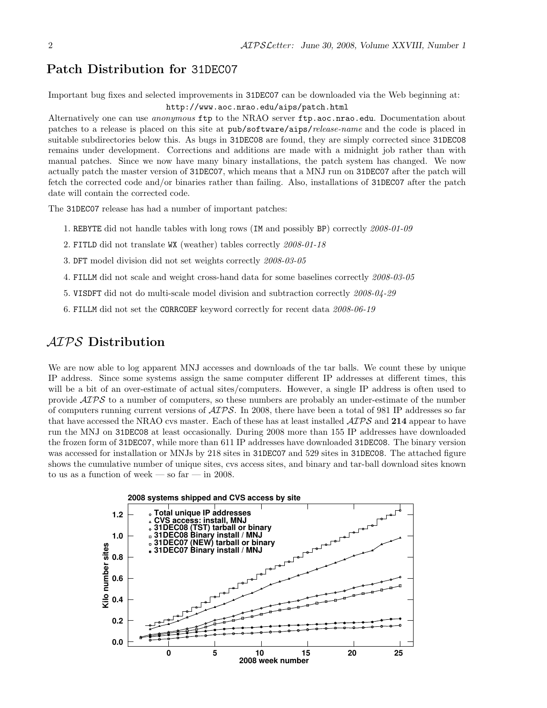## Patch Distribution for 31DEC07

Important bug fixes and selected improvements in 31DEC07 can be downloaded via the Web beginning at: http://www.aoc.nrao.edu/aips/patch.html

Alternatively one can use *anonymous* ftp to the NRAO server ftp.aoc.nrao.edu. Documentation about patches to a release is placed on this site at pub/software/aips/release-name and the code is placed in suitable subdirectories below this. As bugs in 31DEC08 are found, they are simply corrected since 31DEC08 remains under development. Corrections and additions are made with a midnight job rather than with manual patches. Since we now have many binary installations, the patch system has changed. We now actually patch the master version of 31DEC07, which means that a MNJ run on 31DEC07 after the patch will fetch the corrected code and/or binaries rather than failing. Also, installations of 31DEC07 after the patch date will contain the corrected code.

The 31DEC07 release has had a number of important patches:

- 1. REBYTE did not handle tables with long rows (IM and possibly BP) correctly 2008-01-09
- 2. FITLD did not translate WX (weather) tables correctly 2008-01-18
- 3. DFT model division did not set weights correctly 2008-03-05
- 4. FILLM did not scale and weight cross-hand data for some baselines correctly 2008-03-05
- 5. VISDFT did not do multi-scale model division and subtraction correctly 2008-04-29
- 6. FILLM did not set the CORRCOEF keyword correctly for recent data 2008-06-19

# AIPS Distribution

We are now able to log apparent MNJ accesses and downloads of the tar balls. We count these by unique IP address. Since some systems assign the same computer different IP addresses at different times, this will be a bit of an over-estimate of actual sites/computers. However, a single IP address is often used to provide AIPS to a number of computers, so these numbers are probably an under-estimate of the number of computers running current versions of  $\langle \angle ATPS \rangle$ . In 2008, there have been a total of 981 IP addresses so far that have accessed the NRAO cvs master. Each of these has at least installed  $\mathcal{AIPS}$  and 214 appear to have run the MNJ on 31DEC08 at least occasionally. During 2008 more than 155 IP addresses have downloaded the frozen form of 31DEC07, while more than 611 IP addresses have downloaded 31DEC08. The binary version was accessed for installation or MNJs by 218 sites in 31DEC07 and 529 sites in 31DEC08. The attached figure shows the cumulative number of unique sites, cvs access sites, and binary and tar-ball download sites known to us as a function of week — so far — in 2008.

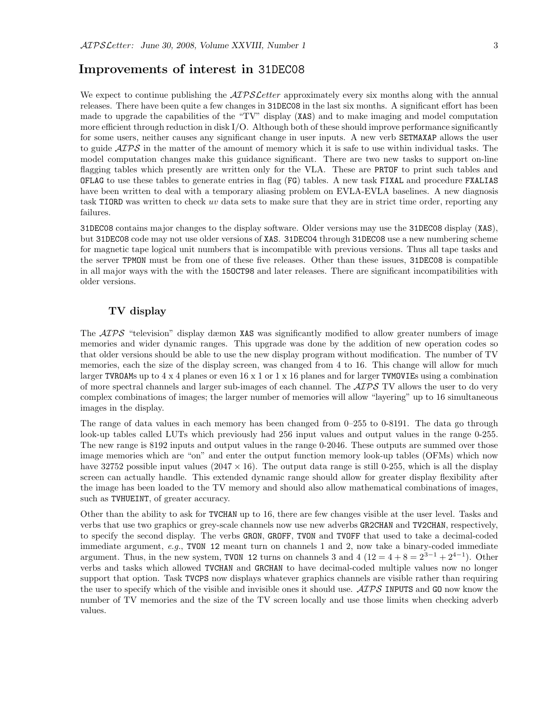## Improvements of interest in 31DEC08

We expect to continue publishing the  $\mathcal{AIPSLetter}$  approximately every six months along with the annual releases. There have been quite a few changes in 31DEC08 in the last six months. A significant effort has been made to upgrade the capabilities of the "TV" display (XAS) and to make imaging and model computation more efficient through reduction in disk I/O. Although both of these should improve performance significantly for some users, neither causes any significant change in user inputs. A new verb SETMAXAP allows the user to guide  $\mathcal{AIPS}$  in the matter of the amount of memory which it is safe to use within individual tasks. The model computation changes make this guidance significant. There are two new tasks to support on-line flagging tables which presently are written only for the VLA. These are PRTOF to print such tables and OFLAG to use these tables to generate entries in flag (FG) tables. A new task FIXAL and procedure FXALIAS have been written to deal with a temporary aliasing problem on EVLA-EVLA baselines. A new diagnosis task TIORD was written to check uv data sets to make sure that they are in strict time order, reporting any failures.

31DEC08 contains major changes to the display software. Older versions may use the 31DEC08 display (XAS), but 31DEC08 code may not use older versions of XAS. 31DEC04 through 31DEC08 use a new numbering scheme for magnetic tape logical unit numbers that is incompatible with previous versions. Thus all tape tasks and the server TPMON must be from one of these five releases. Other than these issues, 31DEC08 is compatible in all major ways with the with the 15OCT98 and later releases. There are significant incompatibilities with older versions.

### TV display

The  $\langle \mathcal{A} \mathcal{P} \mathcal{S} \rangle^2$  "television" display dæmon XAS was significantly modified to allow greater numbers of image memories and wider dynamic ranges. This upgrade was done by the addition of new operation codes so that older versions should be able to use the new display program without modification. The number of TV memories, each the size of the display screen, was changed from 4 to 16. This change will allow for much larger TVROAMs up to  $4 \times 4$  planes or even  $16 \times 1$  or  $1 \times 16$  planes and for larger TVMOVIEs using a combination of more spectral channels and larger sub-images of each channel. The  $\mathcal{AIPS}$  TV allows the user to do very complex combinations of images; the larger number of memories will allow "layering" up to 16 simultaneous images in the display.

The range of data values in each memory has been changed from 0–255 to 0-8191. The data go through look-up tables called LUTs which previously had 256 input values and output values in the range 0-255. The new range is 8192 inputs and output values in the range 0-2046. These outputs are summed over those image memories which are "on" and enter the output function memory look-up tables (OFMs) which now have 32752 possible input values  $(2047 \times 16)$ . The output data range is still 0-255, which is all the display screen can actually handle. This extended dynamic range should allow for greater display flexibility after the image has been loaded to the TV memory and should also allow mathematical combinations of images, such as TVHUEINT, of greater accuracy.

Other than the ability to ask for TVCHAN up to 16, there are few changes visible at the user level. Tasks and verbs that use two graphics or grey-scale channels now use new adverbs GR2CHAN and TV2CHAN, respectively, to specify the second display. The verbs GRON, GROFF, TVON and TVOFF that used to take a decimal-coded immediate argument,  $e.g.,$  TVON 12 meant turn on channels 1 and 2, now take a binary-coded immediate argument. Thus, in the new system, TVON 12 turns on channels 3 and 4  $(12 = 4 + 8 = 2^{3-1} + 2^{4-1})$ . Other verbs and tasks which allowed TVCHAN and GRCHAN to have decimal-coded multiple values now no longer support that option. Task TVCPS now displays whatever graphics channels are visible rather than requiring the user to specify which of the visible and invisible ones it should use.  $\mathcal{ATPS}$  INPUTS and GO now know the number of TV memories and the size of the TV screen locally and use those limits when checking adverb values.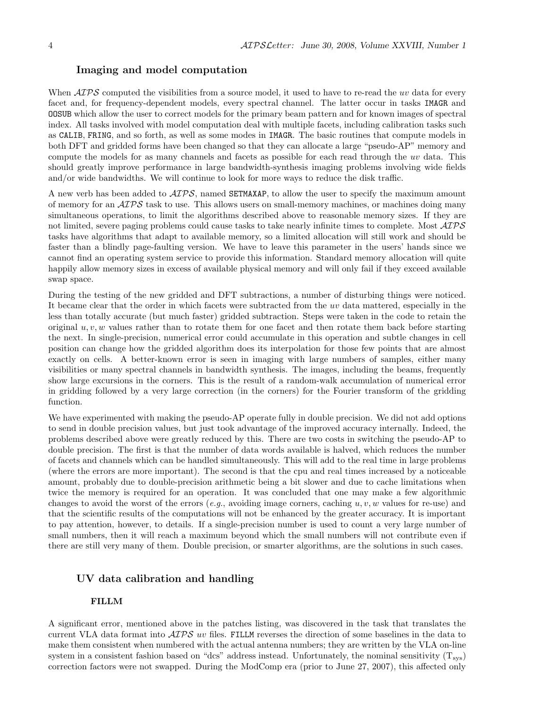#### Imaging and model computation

When  $\mathcal{AIPS}$  computed the visibilities from a source model, it used to have to re-read the uv data for every facet and, for frequency-dependent models, every spectral channel. The latter occur in tasks IMAGR and OOSUB which allow the user to correct models for the primary beam pattern and for known images of spectral index. All tasks involved with model computation deal with multiple facets, including calibration tasks such as CALIB, FRING, and so forth, as well as some modes in IMAGR. The basic routines that compute models in both DFT and gridded forms have been changed so that they can allocate a large "pseudo-AP" memory and compute the models for as many channels and facets as possible for each read through the uv data. This should greatly improve performance in large bandwidth-synthesis imaging problems involving wide fields and/or wide bandwidths. We will continue to look for more ways to reduce the disk traffic.

A new verb has been added to AIPS, named SETMAXAP, to allow the user to specify the maximum amount of memory for an  $\mathcal{A} \mathcal{I} \mathcal{P} \mathcal{S}$  task to use. This allows users on small-memory machines, or machines doing many simultaneous operations, to limit the algorithms described above to reasonable memory sizes. If they are not limited, severe paging problems could cause tasks to take nearly infinite times to complete. Most  $\mathcal{AIPS}$ tasks have algorithms that adapt to available memory, so a limited allocation will still work and should be faster than a blindly page-faulting version. We have to leave this parameter in the users' hands since we cannot find an operating system service to provide this information. Standard memory allocation will quite happily allow memory sizes in excess of available physical memory and will only fail if they exceed available swap space.

During the testing of the new gridded and DFT subtractions, a number of disturbing things were noticed. It became clear that the order in which facets were subtracted from the uv data mattered, especially in the less than totally accurate (but much faster) gridded subtraction. Steps were taken in the code to retain the original  $u, v, w$  values rather than to rotate them for one facet and then rotate them back before starting the next. In single-precision, numerical error could accumulate in this operation and subtle changes in cell position can change how the gridded algorithm does its interpolation for those few points that are almost exactly on cells. A better-known error is seen in imaging with large numbers of samples, either many visibilities or many spectral channels in bandwidth synthesis. The images, including the beams, frequently show large excursions in the corners. This is the result of a random-walk accumulation of numerical error in gridding followed by a very large correction (in the corners) for the Fourier transform of the gridding function.

We have experimented with making the pseudo-AP operate fully in double precision. We did not add options to send in double precision values, but just took advantage of the improved accuracy internally. Indeed, the problems described above were greatly reduced by this. There are two costs in switching the pseudo-AP to double precision. The first is that the number of data words available is halved, which reduces the number of facets and channels which can be handled simultaneously. This will add to the real time in large problems (where the errors are more important). The second is that the cpu and real times increased by a noticeable amount, probably due to double-precision arithmetic being a bit slower and due to cache limitations when twice the memory is required for an operation. It was concluded that one may make a few algorithmic changes to avoid the worst of the errors (e.g., avoiding image corners, caching  $u, v, w$  values for re-use) and that the scientific results of the computations will not be enhanced by the greater accuracy. It is important to pay attention, however, to details. If a single-precision number is used to count a very large number of small numbers, then it will reach a maximum beyond which the small numbers will not contribute even if there are still very many of them. Double precision, or smarter algorithms, are the solutions in such cases.

#### UV data calibration and handling

#### FILLM

A significant error, mentioned above in the patches listing, was discovered in the task that translates the current VLA data format into  $\mathcal{AIPS}$  w files. FILLM reverses the direction of some baselines in the data to make them consistent when numbered with the actual antenna numbers; they are written by the VLA on-line system in a consistent fashion based on "dcs" address instead. Unfortunately, the nominal sensitivity  $(T_{sys})$ correction factors were not swapped. During the ModComp era (prior to June 27, 2007), this affected only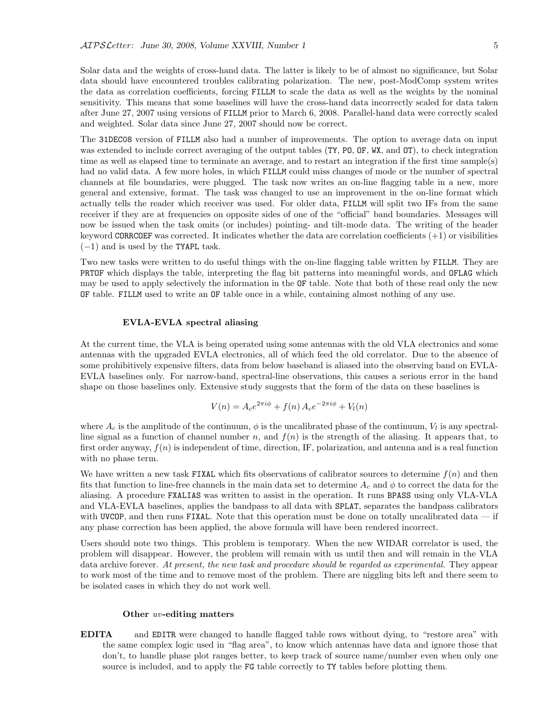Solar data and the weights of cross-hand data. The latter is likely to be of almost no significance, but Solar data should have encountered troubles calibrating polarization. The new, post-ModComp system writes the data as correlation coefficients, forcing FILLM to scale the data as well as the weights by the nominal sensitivity. This means that some baselines will have the cross-hand data incorrectly scaled for data taken after June 27, 2007 using versions of FILLM prior to March 6, 2008. Parallel-hand data were correctly scaled and weighted. Solar data since June 27, 2007 should now be correct.

The 31DEC08 version of FILLM also had a number of improvements. The option to average data on input was extended to include correct averaging of the output tables (TY, PO, OF, WX, and OT), to check integration time as well as elapsed time to terminate an average, and to restart an integration if the first time sample(s) had no valid data. A few more holes, in which FILLM could miss changes of mode or the number of spectral channels at file boundaries, were plugged. The task now writes an on-line flagging table in a new, more general and extensive, format. The task was changed to use an improvement in the on-line format which actually tells the reader which receiver was used. For older data, FILLM will split two IFs from the same receiver if they are at frequencies on opposite sides of one of the "official" band boundaries. Messages will now be issued when the task omits (or includes) pointing- and tilt-mode data. The writing of the header keyword CORRCOEF was corrected. It indicates whether the data are correlation coefficients  $(+1)$  or visibilities  $(-1)$  and is used by the TYAPL task.

Two new tasks were written to do useful things with the on-line flagging table written by FILLM. They are PRTOF which displays the table, interpreting the flag bit patterns into meaningful words, and OFLAG which may be used to apply selectively the information in the OF table. Note that both of these read only the new OF table. FILLM used to write an OF table once in a while, containing almost nothing of any use.

#### EVLA-EVLA spectral aliasing

At the current time, the VLA is being operated using some antennas with the old VLA electronics and some antennas with the upgraded EVLA electronics, all of which feed the old correlator. Due to the absence of some prohibitively expensive filters, data from below baseband is aliased into the observing band on EVLA-EVLA baselines only. For narrow-band, spectral-line observations, this causes a serious error in the band shape on those baselines only. Extensive study suggests that the form of the data on these baselines is

$$
V(n) = A_c e^{2\pi i \phi} + f(n) A_c e^{-2\pi i \phi} + V_l(n)
$$

where  $A_c$  is the amplitude of the continuum,  $\phi$  is the uncalibrated phase of the continuum,  $V_l$  is any spectralline signal as a function of channel number n, and  $f(n)$  is the strength of the aliasing. It appears that, to first order anyway,  $f(n)$  is independent of time, direction, IF, polarization, and antenna and is a real function with no phase term.

We have written a new task FIXAL which fits observations of calibrator sources to determine  $f(n)$  and then fits that function to line-free channels in the main data set to determine  $A_c$  and  $\phi$  to correct the data for the aliasing. A procedure FXALIAS was written to assist in the operation. It runs BPASS using only VLA-VLA and VLA-EVLA baselines, applies the bandpass to all data with SPLAT, separates the bandpass calibrators with UVCOP, and then runs FIXAL. Note that this operation must be done on totally uncalibrated data  $-$  if any phase correction has been applied, the above formula will have been rendered incorrect.

Users should note two things. This problem is temporary. When the new WIDAR correlator is used, the problem will disappear. However, the problem will remain with us until then and will remain in the VLA data archive forever. At present, the new task and procedure should be regarded as experimental. They appear to work most of the time and to remove most of the problem. There are niggling bits left and there seem to be isolated cases in which they do not work well.

#### Other uv-editing matters

EDITA and EDITR were changed to handle flagged table rows without dying, to "restore area" with the same complex logic used in "flag area", to know which antennas have data and ignore those that don't, to handle phase plot ranges better, to keep track of source name/number even when only one source is included, and to apply the FG table correctly to TY tables before plotting them.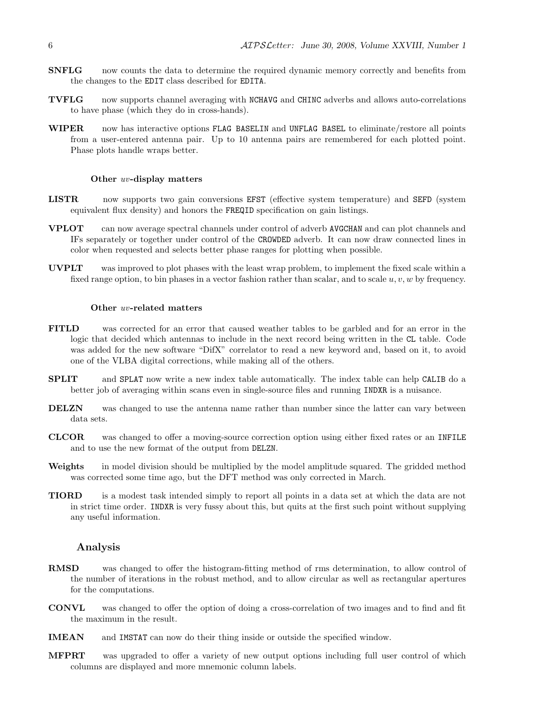- **SNFLG** now counts the data to determine the required dynamic memory correctly and benefits from the changes to the EDIT class described for EDITA.
- TVFLG now supports channel averaging with NCHAVG and CHINC adverbs and allows auto-correlations to have phase (which they do in cross-hands).
- WIPER now has interactive options FLAG BASELIN and UNFLAG BASEL to eliminate/restore all points from a user-entered antenna pair. Up to 10 antenna pairs are remembered for each plotted point. Phase plots handle wraps better.

#### Other uv-display matters

- LISTR now supports two gain conversions EFST (effective system temperature) and SEFD (system equivalent flux density) and honors the FREQID specification on gain listings.
- VPLOT can now average spectral channels under control of adverb AVGCHAN and can plot channels and IFs separately or together under control of the CROWDED adverb. It can now draw connected lines in color when requested and selects better phase ranges for plotting when possible.
- UVPLT was improved to plot phases with the least wrap problem, to implement the fixed scale within a fixed range option, to bin phases in a vector fashion rather than scalar, and to scale  $u, v, w$  by frequency.

#### Other uv-related matters

- FITLD was corrected for an error that caused weather tables to be garbled and for an error in the logic that decided which antennas to include in the next record being written in the CL table. Code was added for the new software "DifX" correlator to read a new keyword and, based on it, to avoid one of the VLBA digital corrections, while making all of the others.
- SPLIT and SPLAT now write a new index table automatically. The index table can help CALIB do a better job of averaging within scans even in single-source files and running INDXR is a nuisance.
- DELZN was changed to use the antenna name rather than number since the latter can vary between data sets.
- CLCOR was changed to offer a moving-source correction option using either fixed rates or an INFILE and to use the new format of the output from DELZN.
- Weights in model division should be multiplied by the model amplitude squared. The gridded method was corrected some time ago, but the DFT method was only corrected in March.
- TIORD is a modest task intended simply to report all points in a data set at which the data are not in strict time order. INDXR is very fussy about this, but quits at the first such point without supplying any useful information.

#### Analysis

- RMSD was changed to offer the histogram-fitting method of rms determination, to allow control of the number of iterations in the robust method, and to allow circular as well as rectangular apertures for the computations.
- CONVL was changed to offer the option of doing a cross-correlation of two images and to find and fit the maximum in the result.
- IMEAN and IMSTAT can now do their thing inside or outside the specified window.
- MFPRT was upgraded to offer a variety of new output options including full user control of which columns are displayed and more mnemonic column labels.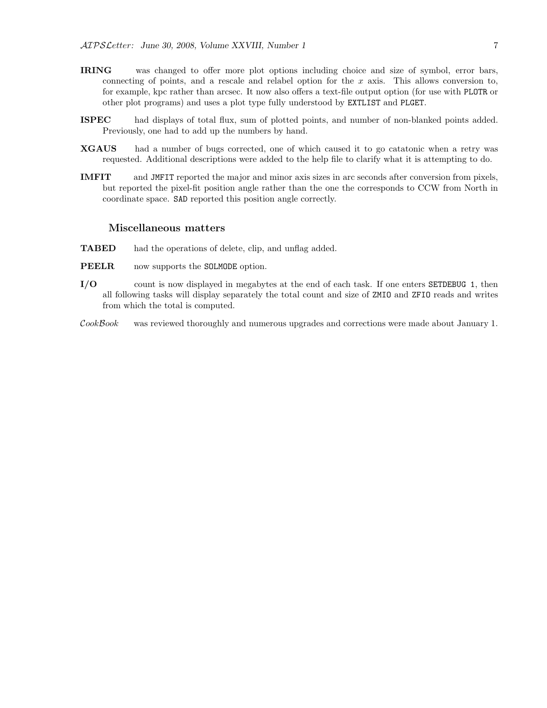- IRING was changed to offer more plot options including choice and size of symbol, error bars, connecting of points, and a rescale and relabel option for the  $x$  axis. This allows conversion to, for example, kpc rather than arcsec. It now also offers a text-file output option (for use with PLOTR or other plot programs) and uses a plot type fully understood by EXTLIST and PLGET.
- ISPEC had displays of total flux, sum of plotted points, and number of non-blanked points added. Previously, one had to add up the numbers by hand.
- XGAUS had a number of bugs corrected, one of which caused it to go catatonic when a retry was requested. Additional descriptions were added to the help file to clarify what it is attempting to do.
- IMFIT and JMFIT reported the major and minor axis sizes in arc seconds after conversion from pixels, but reported the pixel-fit position angle rather than the one the corresponds to CCW from North in coordinate space. SAD reported this position angle correctly.

#### Miscellaneous matters

- TABED had the operations of delete, clip, and unflag added.
- PEELR now supports the SOLMODE option.
- I/O count is now displayed in megabytes at the end of each task. If one enters SETDEBUG 1, then all following tasks will display separately the total count and size of ZMIO and ZFIO reads and writes from which the total is computed.
- CookBook was reviewed thoroughly and numerous upgrades and corrections were made about January 1.